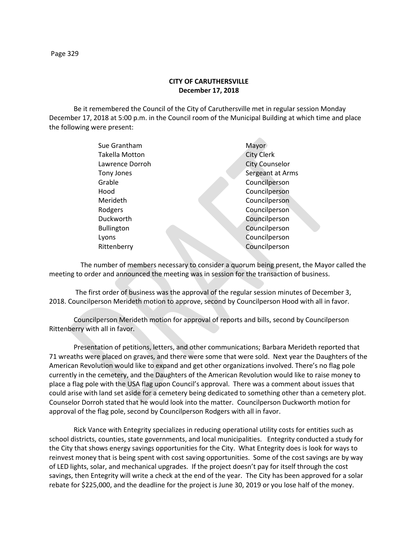## **CITY OF CARUTHERSVILLE December 17, 2018**

Be it remembered the Council of the City of Caruthersville met in regular session Monday December 17, 2018 at 5:00 p.m. in the Council room of the Municipal Building at which time and place the following were present:

| Sue Grantham      | Mayor                 |
|-------------------|-----------------------|
| Takella Motton    | <b>City Clerk</b>     |
| Lawrence Dorroh   | <b>City Counselor</b> |
| Tony Jones        | Sergeant at Arms      |
| Grable            | Councilperson         |
| Hood              | Councilperson         |
| Merideth          | Councilperson         |
| Rodgers           | Councilperson         |
| Duckworth         | Councilperson         |
| <b>Bullington</b> | Councilperson         |
| Lyons             | Councilperson         |
| Rittenberry       | Councilperson         |
|                   |                       |

 The number of members necessary to consider a quorum being present, the Mayor called the meeting to order and announced the meeting was in session for the transaction of business.

The first order of business was the approval of the regular session minutes of December 3, 2018. Councilperson Merideth motion to approve, second by Councilperson Hood with all in favor.

Councilperson Merideth motion for approval of reports and bills, second by Councilperson Rittenberry with all in favor.

Presentation of petitions, letters, and other communications; Barbara Merideth reported that 71 wreaths were placed on graves, and there were some that were sold. Next year the Daughters of the American Revolution would like to expand and get other organizations involved. There's no flag pole currently in the cemetery, and the Daughters of the American Revolution would like to raise money to place a flag pole with the USA flag upon Council's approval. There was a comment about issues that could arise with land set aside for a cemetery being dedicated to something other than a cemetery plot. Counselor Dorroh stated that he would look into the matter. Councilperson Duckworth motion for approval of the flag pole, second by Councilperson Rodgers with all in favor.

Rick Vance with Entegrity specializes in reducing operational utility costs for entities such as school districts, counties, state governments, and local municipalities. Entegrity conducted a study for the City that shows energy savings opportunities for the City. What Entegrity does is look for ways to reinvest money that is being spent with cost saving opportunities. Some of the cost savings are by way of LED lights, solar, and mechanical upgrades. If the project doesn't pay for itself through the cost savings, then Entegrity will write a check at the end of the year. The City has been approved for a solar rebate for \$225,000, and the deadline for the project is June 30, 2019 or you lose half of the money.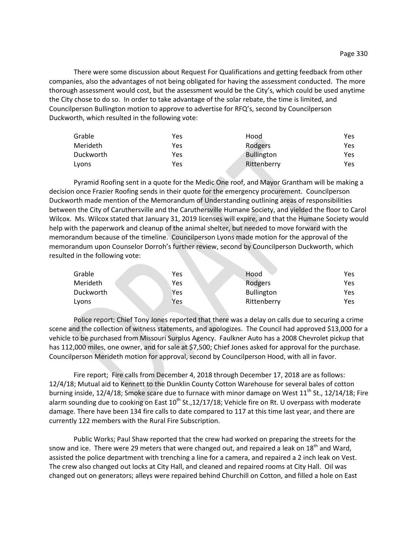There were some discussion about Request For Qualifications and getting feedback from other companies, also the advantages of not being obligated for having the assessment conducted. The more thorough assessment would cost, but the assessment would be the City's, which could be used anytime the City chose to do so. In order to take advantage of the solar rebate, the time is limited, and Councilperson Bullington motion to approve to advertise for RFQ's, second by Councilperson Duckworth, which resulted in the following vote:

| Grable    | Yes | Hood        | Yes  |
|-----------|-----|-------------|------|
| Merideth  | Yes | Rodgers     | Yes  |
| Duckworth | Yes | Bullington  | Yes. |
| Lyons     | Yes | Rittenberry | Yes  |

Pyramid Roofing sent in a quote for the Medic One roof, and Mayor Grantham will be making a decision once Frazier Roofing sends in their quote for the emergency procurement. Councilperson Duckworth made mention of the Memorandum of Understanding outlining areas of responsibilities between the City of Caruthersville and the Caruthersville Humane Society, and yielded the floor to Carol Wilcox. Ms. Wilcox stated that January 31, 2019 licenses will expire, and that the Humane Society would help with the paperwork and cleanup of the animal shelter, but needed to move forward with the memorandum because of the timeline. Councilperson Lyons made motion for the approval of the memorandum upon Counselor Dorroh's further review, second by Councilperson Duckworth, which resulted in the following vote:

| Grable    | Yes | Hood              | Yes  |
|-----------|-----|-------------------|------|
| Merideth  | Yes | Rodgers           | Yes. |
| Duckworth | Yes | <b>Bullington</b> | Yes. |
| Lyons     | Yes | Rittenberry       | Yes. |

Police report; Chief Tony Jones reported that there was a delay on calls due to securing a crime scene and the collection of witness statements, and apologizes. The Council had approved \$13,000 for a vehicle to be purchased from Missouri Surplus Agency. Faulkner Auto has a 2008 Chevrolet pickup that has 112,000 miles, one owner, and for sale at \$7,500; Chief Jones asked for approval for the purchase. Councilperson Merideth motion for approval, second by Councilperson Hood, with all in favor.

Fire report; Fire calls from December 4, 2018 through December 17, 2018 are as follows: 12/4/18; Mutual aid to Kennett to the Dunklin County Cotton Warehouse for several bales of cotton burning inside,  $12/4/18$ ; Smoke scare due to furnace with minor damage on West  $11<sup>th</sup>$  St.,  $12/14/18$ ; Fire alarm sounding due to cooking on East  $10^{th}$  St.,12/17/18; Vehicle fire on Rt. U overpass with moderate damage. There have been 134 fire calls to date compared to 117 at this time last year, and there are currently 122 members with the Rural Fire Subscription.

Public Works; Paul Shaw reported that the crew had worked on preparing the streets for the snow and ice. There were 29 meters that were changed out, and repaired a leak on 18<sup>th</sup> and Ward, assisted the police department with trenching a line for a camera, and repaired a 2 inch leak on Vest. The crew also changed out locks at City Hall, and cleaned and repaired rooms at City Hall. Oil was changed out on generators; alleys were repaired behind Churchill on Cotton, and filled a hole on East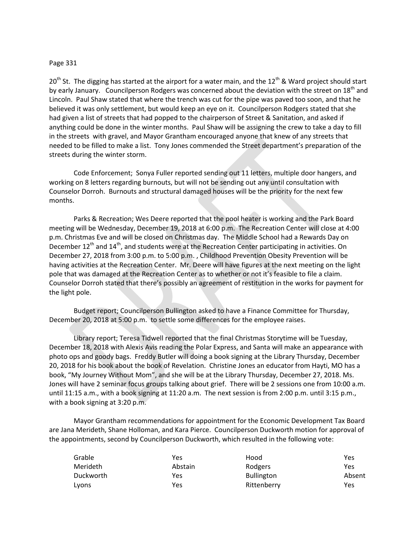## Page 331

 $20<sup>th</sup>$  St. The digging has started at the airport for a water main, and the 12<sup>th</sup> & Ward project should start by early January. Councilperson Rodgers was concerned about the deviation with the street on 18<sup>th</sup> and Lincoln. Paul Shaw stated that where the trench was cut for the pipe was paved too soon, and that he believed it was only settlement, but would keep an eye on it. Councilperson Rodgers stated that she had given a list of streets that had popped to the chairperson of Street & Sanitation, and asked if anything could be done in the winter months. Paul Shaw will be assigning the crew to take a day to fill in the streets with gravel, and Mayor Grantham encouraged anyone that knew of any streets that needed to be filled to make a list. Tony Jones commended the Street department's preparation of the streets during the winter storm.

Code Enforcement; Sonya Fuller reported sending out 11 letters, multiple door hangers, and working on 8 letters regarding burnouts, but will not be sending out any until consultation with Counselor Dorroh. Burnouts and structural damaged houses will be the priority for the next few months.

Parks & Recreation; Wes Deere reported that the pool heater is working and the Park Board meeting will be Wednesday, December 19, 2018 at 6:00 p.m. The Recreation Center will close at 4:00 p.m. Christmas Eve and will be closed on Christmas day. The Middle School had a Rewards Day on December  $12<sup>th</sup>$  and  $14<sup>th</sup>$ , and students were at the Recreation Center participating in activities. On December 27, 2018 from 3:00 p.m. to 5:00 p.m. , Childhood Prevention Obesity Prevention will be having activities at the Recreation Center. Mr. Deere will have figures at the next meeting on the light pole that was damaged at the Recreation Center as to whether or not it's feasible to file a claim. Counselor Dorroh stated that there's possibly an agreement of restitution in the works for payment for the light pole.

Budget report; Councilperson Bullington asked to have a Finance Committee for Thursday, December 20, 2018 at 5:00 p.m. to settle some differences for the employee raises.

Library report; Teresa Tidwell reported that the final Christmas Storytime will be Tuesday, December 18, 2018 with Alexis Avis reading the Polar Express, and Santa will make an appearance with photo ops and goody bags. Freddy Butler will doing a book signing at the Library Thursday, December 20, 2018 for his book about the book of Revelation. Christine Jones an educator from Hayti, MO has a book, "My Journey Without Mom", and she will be at the Library Thursday, December 27, 2018. Ms. Jones will have 2 seminar focus groups talking about grief. There will be 2 sessions one from 10:00 a.m. until 11:15 a.m., with a book signing at 11:20 a.m. The next session is from 2:00 p.m. until 3:15 p.m., with a book signing at 3:20 p.m.

Mayor Grantham recommendations for appointment for the Economic Development Tax Board are Jana Merideth, Shane Holloman, and Kara Pierce. Councilperson Duckworth motion for approval of the appointments, second by Councilperson Duckworth, which resulted in the following vote:

| Grable    | Yes     | Hood              | Yes    |
|-----------|---------|-------------------|--------|
| Merideth  | Abstain | Rodgers           | Yes    |
| Duckworth | Yes     | <b>Bullington</b> | Absent |
| Lyons     | Yes     | Rittenberry       | Yes    |